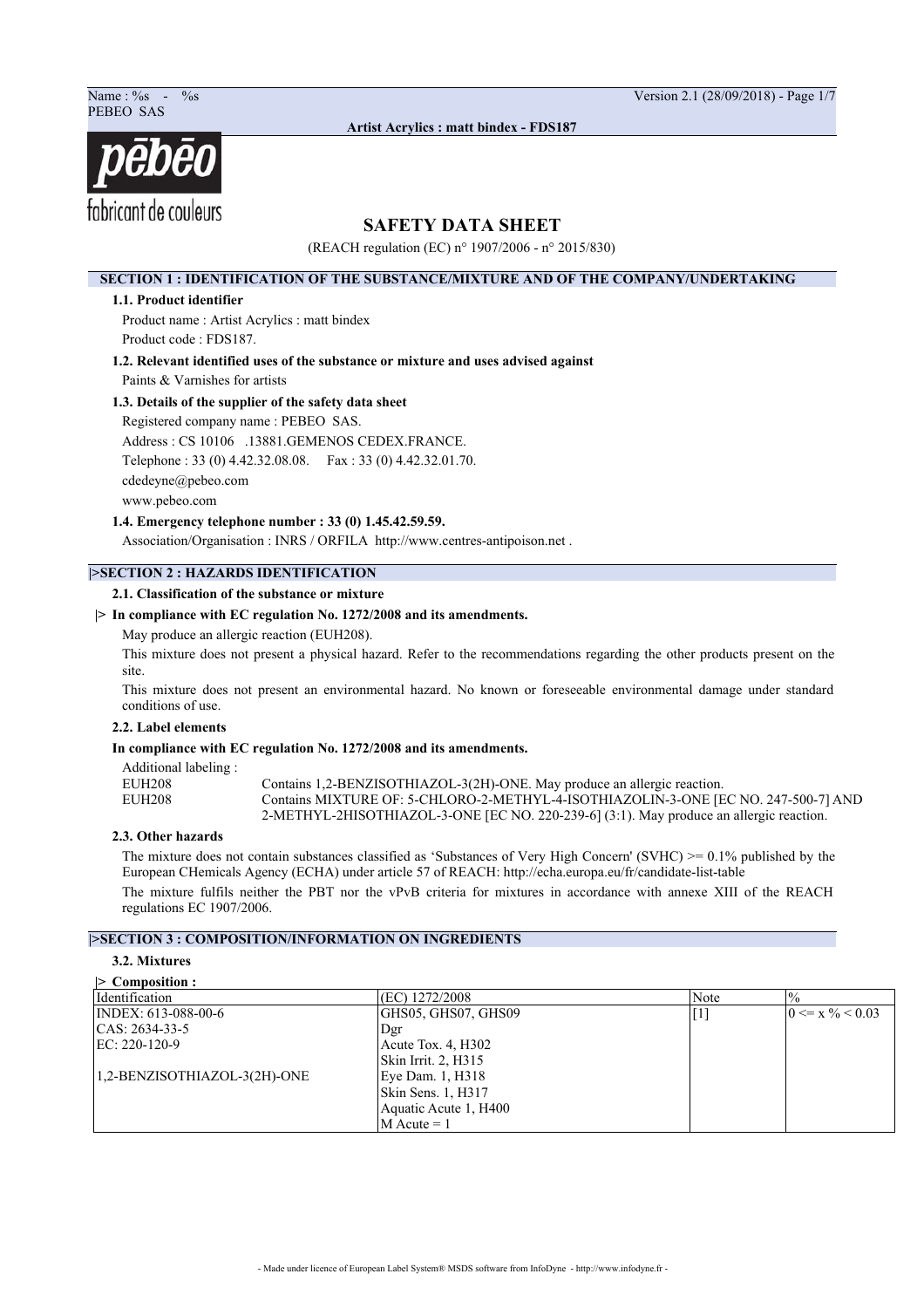Name : %s - %s Version 2.1 (28/09/2018) - Page 1/7



**Artist Acrylics : matt bindex - FDS187**

# **SAFETY DATA SHEET**

(REACH regulation (EC) n° 1907/2006 - n° 2015/830)

## **SECTION 1 : IDENTIFICATION OF THE SUBSTANCE/MIXTURE AND OF THE COMPANY/UNDERTAKING**

### **1.1. Product identifier**

Product name : Artist Acrylics : matt bindex Product code : FDS187.

**1.2. Relevant identified uses of the substance or mixture and uses advised against**

Paints & Varnishes for artists

# **1.3. Details of the supplier of the safety data sheet**

Registered company name : PEBEO SAS. Address : CS 10106 .13881.GEMENOS CEDEX.FRANCE.

Telephone : 33 (0) 4.42.32.08.08. Fax : 33 (0) 4.42.32.01.70.

cdedeyne@pebeo.com

www.pebeo.com

**1.4. Emergency telephone number : 33 (0) 1.45.42.59.59.**

Association/Organisation : INRS / ORFILA http://www.centres-antipoison.net .

# **|>SECTION 2 : HAZARDS IDENTIFICATION**

### **2.1. Classification of the substance or mixture**

## **|> In compliance with EC regulation No. 1272/2008 and its amendments.**

May produce an allergic reaction (EUH208).

This mixture does not present a physical hazard. Refer to the recommendations regarding the other products present on the site.

This mixture does not present an environmental hazard. No known or foreseeable environmental damage under standard conditions of use.

### **2.2. Label elements**

### **In compliance with EC regulation No. 1272/2008 and its amendments.**

Additional labeling :

EUH208 Contains 1,2-BENZISOTHIAZOL-3(2H)-ONE. May produce an allergic reaction.<br>
Contains MIXTURE OF: 5-CHLORO-2-METHYL-4-ISOTHIAZOLIN-3-ONE IF Contains MIXTURE OF: 5-CHLORO-2-METHYL-4-ISOTHIAZOLIN-3-ONE [EC NO. 247-500-7] AND 2-METHYL-2HISOTHIAZOL-3-ONE [EC NO. 220-239-6] (3:1). May produce an allergic reaction.

### **2.3. Other hazards**

The mixture does not contain substances classified as 'Substances of Very High Concern' (SVHC)  $> = 0.1\%$  published by the European CHemicals Agency (ECHA) under article 57 of REACH: http://echa.europa.eu/fr/candidate-list-table The mixture fulfils neither the PBT nor the vPvB criteria for mixtures in accordance with annexe XIII of the REACH regulations EC 1907/2006.

# **|>SECTION 3 : COMPOSITION/INFORMATION ON INGREDIENTS**

#### **3.2. Mixtures |> Composition :**

| $(EC)$ 1272/2008      | Note                                                                                                                                                                                                                                                                                                             | $\frac{0}{0}$                |
|-----------------------|------------------------------------------------------------------------------------------------------------------------------------------------------------------------------------------------------------------------------------------------------------------------------------------------------------------|------------------------------|
| GHS05, GHS07, GHS09   | $[1] % \includegraphics[width=0.9\columnwidth]{figures/fig_1a} \caption{The image shows the number of times, and the number of times, and the number of times, and the number of times, are indicated with the number of times, and the number of times, are indicated with the number of times.} \label{fig:2}$ | $0 \le x \frac{9}{6} < 0.03$ |
| Dgr                   |                                                                                                                                                                                                                                                                                                                  |                              |
| Acute Tox. 4, H302    |                                                                                                                                                                                                                                                                                                                  |                              |
| Skin Irrit. 2, H315   |                                                                                                                                                                                                                                                                                                                  |                              |
| Eye Dam. 1, H318      |                                                                                                                                                                                                                                                                                                                  |                              |
| Skin Sens. 1, H317    |                                                                                                                                                                                                                                                                                                                  |                              |
| Aquatic Acute 1, H400 |                                                                                                                                                                                                                                                                                                                  |                              |
| $M$ Acute = 1         |                                                                                                                                                                                                                                                                                                                  |                              |
|                       |                                                                                                                                                                                                                                                                                                                  |                              |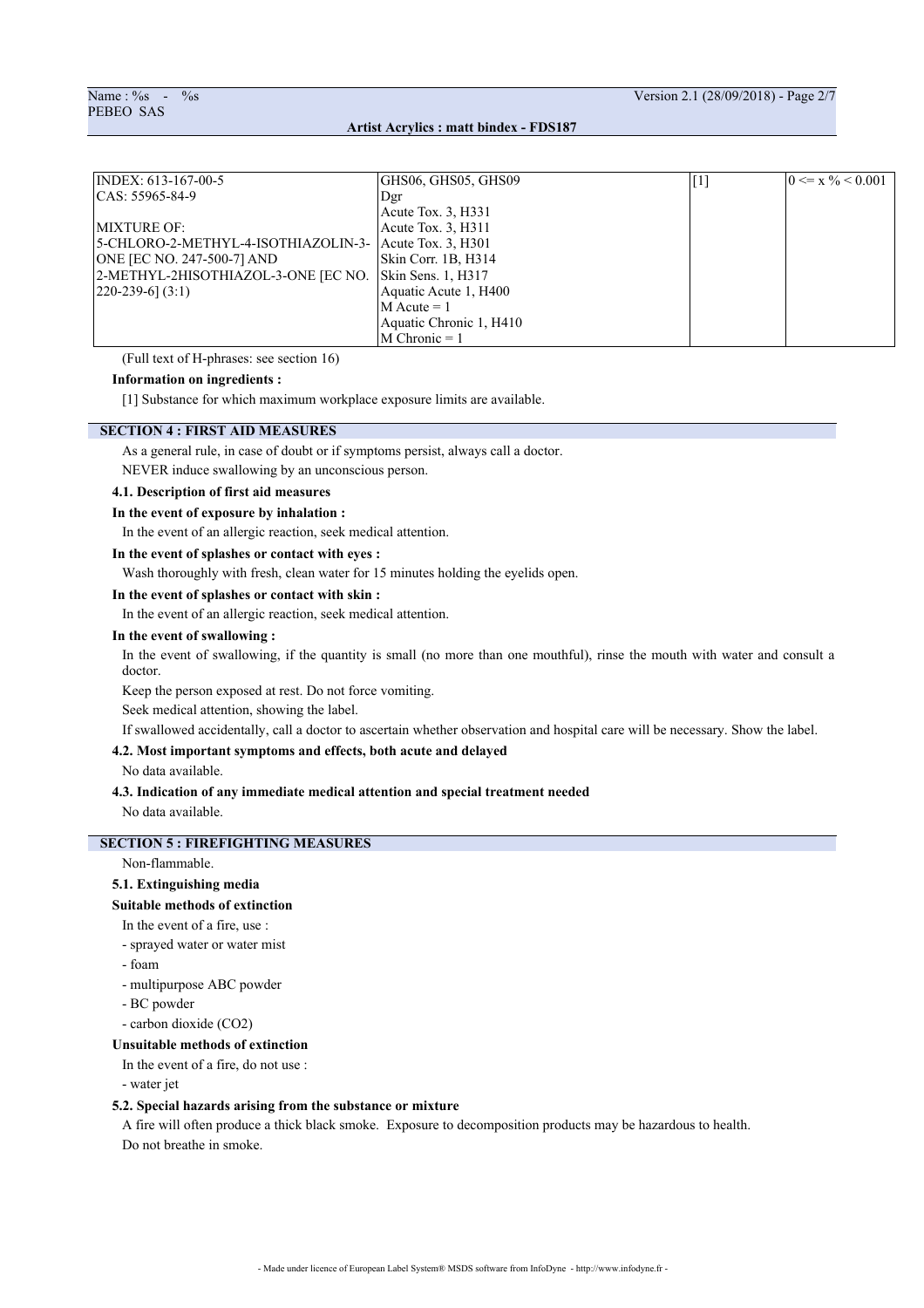| INDEX: 613-167-00-5                 | GHS06, GHS05, GHS09     | $[1]$ | $0 \le x \frac{9}{6} < 0.001$ |
|-------------------------------------|-------------------------|-------|-------------------------------|
| $ CAS: 55965-84-9$                  | Dgr                     |       |                               |
|                                     | Acute Tox. $3, H331$    |       |                               |
| <b>IMIXTURE OF:</b>                 | Acute Tox. 3, H311      |       |                               |
| 5-CHLORO-2-METHYL-4-ISOTHIAZOLIN-3- | Acute Tox. 3, H301      |       |                               |
| ONE [EC NO. 247-500-7] AND          | Skin Corr. 1B, H314     |       |                               |
| 2-METHYL-2HISOTHIAZOL-3-ONE [EC NO. | Skin Sens. 1, H317      |       |                               |
| $\left[220 - 239 - 6\right]$ (3:1)  | Aquatic Acute 1, H400   |       |                               |
|                                     | $M$ Acute = 1           |       |                               |
|                                     | Aquatic Chronic 1, H410 |       |                               |
|                                     | $M$ Chronic = 1         |       |                               |

(Full text of H-phrases: see section 16)

## **Information on ingredients :**

[1] Substance for which maximum workplace exposure limits are available.

#### **SECTION 4 : FIRST AID MEASURES**

As a general rule, in case of doubt or if symptoms persist, always call a doctor.

NEVER induce swallowing by an unconscious person.

# **4.1. Description of first aid measures**

### **In the event of exposure by inhalation :**

In the event of an allergic reaction, seek medical attention.

### **In the event of splashes or contact with eyes :**

Wash thoroughly with fresh, clean water for 15 minutes holding the eyelids open.

### **In the event of splashes or contact with skin :**

In the event of an allergic reaction, seek medical attention.

### **In the event of swallowing :**

In the event of swallowing, if the quantity is small (no more than one mouthful), rinse the mouth with water and consult a doctor.

Keep the person exposed at rest. Do not force vomiting.

Seek medical attention, showing the label.

If swallowed accidentally, call a doctor to ascertain whether observation and hospital care will be necessary. Show the label.

## **4.2. Most important symptoms and effects, both acute and delayed**

No data available.

### **4.3. Indication of any immediate medical attention and special treatment needed**

No data available.

# **SECTION 5 : FIREFIGHTING MEASURES**

Non-flammable.

# **5.1. Extinguishing media**

### **Suitable methods of extinction**

In the event of a fire, use :

- sprayed water or water mist
- foam
- multipurpose ABC powder
- BC powder
- carbon dioxide (CO2)

# **Unsuitable methods of extinction**

In the event of a fire, do not use :

- water jet

#### **5.2. Special hazards arising from the substance or mixture**

A fire will often produce a thick black smoke. Exposure to decomposition products may be hazardous to health. Do not breathe in smoke.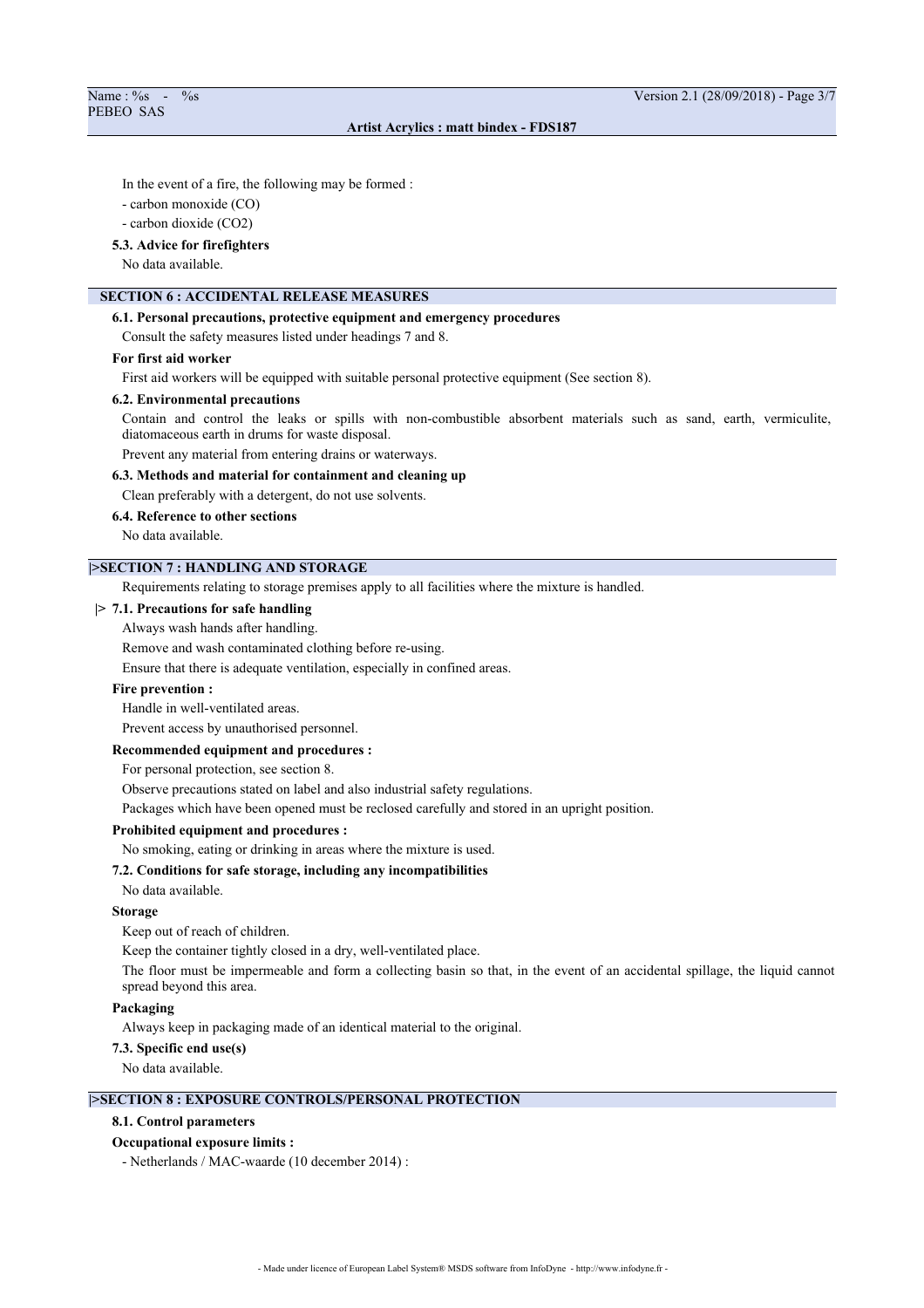In the event of a fire, the following may be formed :

- carbon monoxide (CO)

- carbon dioxide (CO2)

#### **5.3. Advice for firefighters**

No data available.

# **SECTION 6 : ACCIDENTAL RELEASE MEASURES**

### **6.1. Personal precautions, protective equipment and emergency procedures**

Consult the safety measures listed under headings 7 and 8.

#### **For first aid worker**

First aid workers will be equipped with suitable personal protective equipment (See section 8).

### **6.2. Environmental precautions**

Contain and control the leaks or spills with non-combustible absorbent materials such as sand, earth, vermiculite, diatomaceous earth in drums for waste disposal.

Prevent any material from entering drains or waterways.

### **6.3. Methods and material for containment and cleaning up**

Clean preferably with a detergent, do not use solvents.

#### **6.4. Reference to other sections**

No data available.

# **|>SECTION 7 : HANDLING AND STORAGE**

Requirements relating to storage premises apply to all facilities where the mixture is handled.

#### **|> 7.1. Precautions for safe handling**

Always wash hands after handling.

Remove and wash contaminated clothing before re-using.

Ensure that there is adequate ventilation, especially in confined areas.

### **Fire prevention :**

Handle in well-ventilated areas.

Prevent access by unauthorised personnel.

### **Recommended equipment and procedures :**

For personal protection, see section 8.

Observe precautions stated on label and also industrial safety regulations.

Packages which have been opened must be reclosed carefully and stored in an upright position.

### **Prohibited equipment and procedures :**

No smoking, eating or drinking in areas where the mixture is used.

#### **7.2. Conditions for safe storage, including any incompatibilities**

No data available.

### **Storage**

Keep out of reach of children.

Keep the container tightly closed in a dry, well-ventilated place.

The floor must be impermeable and form a collecting basin so that, in the event of an accidental spillage, the liquid cannot spread beyond this area.

#### **Packaging**

Always keep in packaging made of an identical material to the original.

#### **7.3. Specific end use(s)**

No data available.

# **|>SECTION 8 : EXPOSURE CONTROLS/PERSONAL PROTECTION**

#### **8.1. Control parameters**

#### **Occupational exposure limits :**

- Netherlands / MAC-waarde (10 december 2014) :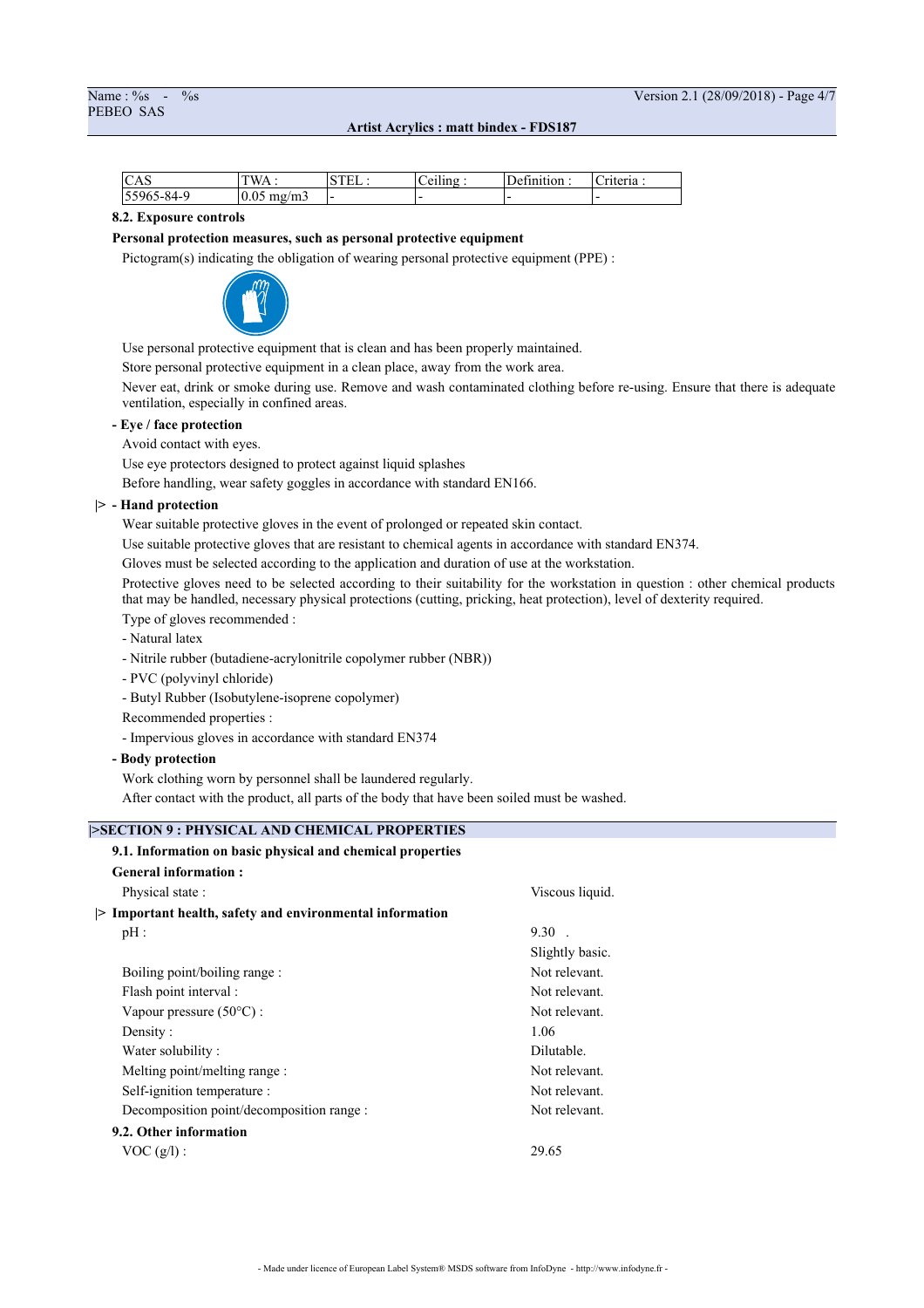| $\sim$ $\sim$<br><b>CAS</b> | T T T T<br>W<br>. | $\alpha$ mm | $\cdots$<br>÷<br>11 <sub>n</sub> | <b>COMPANY</b><br>ിവെ<br>JΑ. | $\sim$<br>.<br>∗ia. |
|-----------------------------|-------------------|-------------|----------------------------------|------------------------------|---------------------|
| 84_C<br>ັ                   | 10.05<br>'m<br>   | . .         | -                                | . .                          | . .                 |

### **8.2. Exposure controls**

#### **Personal protection measures, such as personal protective equipment**

Pictogram(s) indicating the obligation of wearing personal protective equipment (PPE) :



Use personal protective equipment that is clean and has been properly maintained.

Store personal protective equipment in a clean place, away from the work area.

Never eat, drink or smoke during use. Remove and wash contaminated clothing before re-using. Ensure that there is adequate ventilation, especially in confined areas.

## **- Eye / face protection**

Avoid contact with eyes.

Use eye protectors designed to protect against liquid splashes

Before handling, wear safety goggles in accordance with standard EN166.

# **|> - Hand protection**

Wear suitable protective gloves in the event of prolonged or repeated skin contact.

Use suitable protective gloves that are resistant to chemical agents in accordance with standard EN374.

Gloves must be selected according to the application and duration of use at the workstation.

Protective gloves need to be selected according to their suitability for the workstation in question : other chemical products that may be handled, necessary physical protections (cutting, pricking, heat protection), level of dexterity required.

Type of gloves recommended :

- Natural latex
- Nitrile rubber (butadiene-acrylonitrile copolymer rubber (NBR))
- PVC (polyvinyl chloride)
- Butyl Rubber (Isobutylene-isoprene copolymer)
- Recommended properties :
- Impervious gloves in accordance with standard EN374

### **- Body protection**

Work clothing worn by personnel shall be laundered regularly.

After contact with the product, all parts of the body that have been soiled must be washed.

# **|>SECTION 9 : PHYSICAL AND CHEMICAL PROPERTIES**

| 9.1. Information on basic physical and chemical properties |                 |
|------------------------------------------------------------|-----------------|
| <b>General information:</b>                                |                 |
| Physical state:                                            | Viscous liquid. |
| > Important health, safety and environmental information   |                 |
| pH:                                                        | $9.30$ .        |
|                                                            | Slightly basic. |
| Boiling point/boiling range :                              | Not relevant.   |
| Flash point interval :                                     | Not relevant.   |
| Vapour pressure (50°C) :                                   | Not relevant.   |
| Density:                                                   | 1.06            |
| Water solubility:                                          | Dilutable.      |
| Melting point/melting range :                              | Not relevant.   |
| Self-ignition temperature :                                | Not relevant.   |
| Decomposition point/decomposition range :                  | Not relevant.   |
| 9.2. Other information                                     |                 |
| VOC(g/l):                                                  | 29.65           |
|                                                            |                 |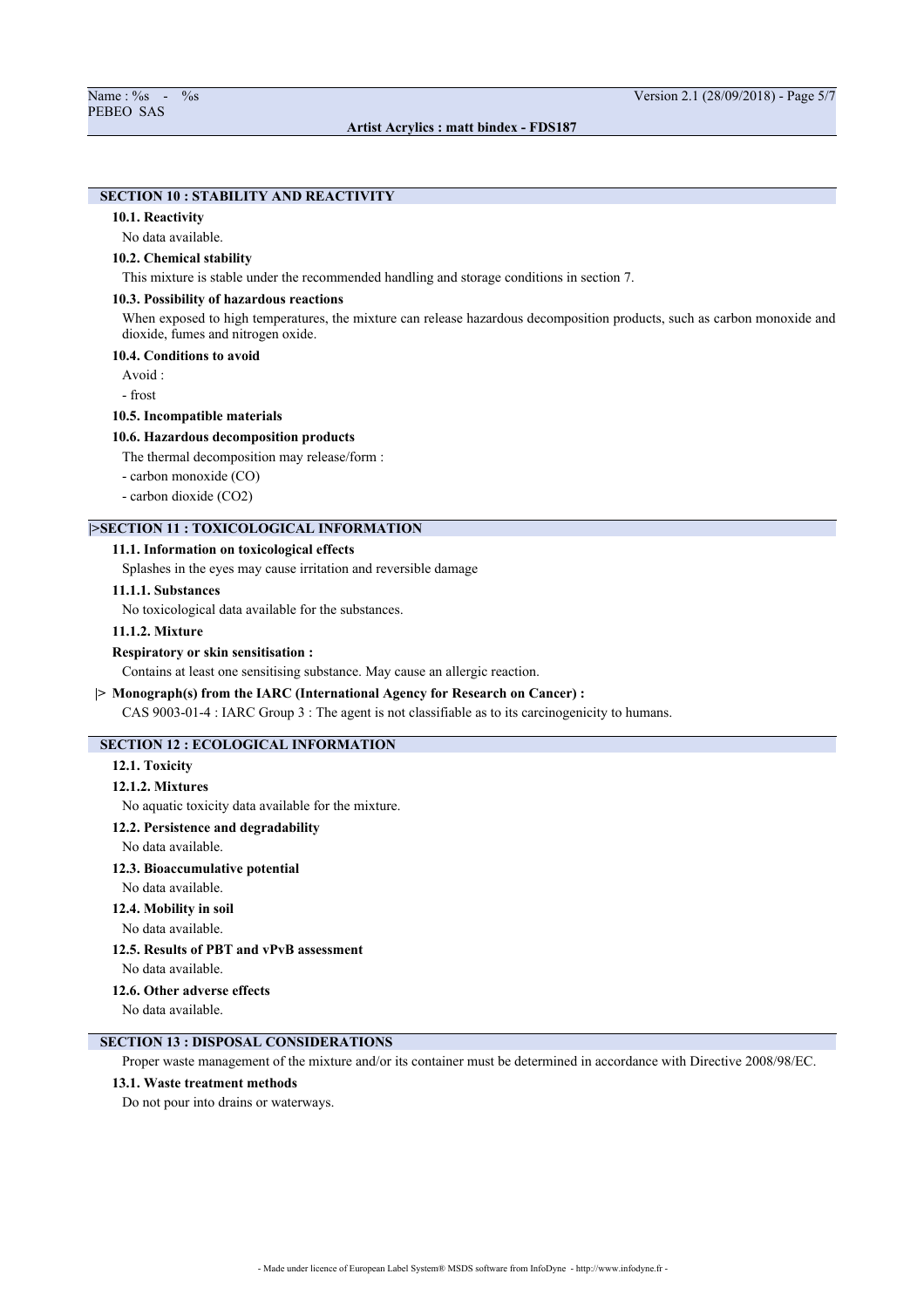# **SECTION 10 : STABILITY AND REACTIVITY**

#### **10.1. Reactivity**

No data available.

#### **10.2. Chemical stability**

This mixture is stable under the recommended handling and storage conditions in section 7.

### **10.3. Possibility of hazardous reactions**

When exposed to high temperatures, the mixture can release hazardous decomposition products, such as carbon monoxide and dioxide, fumes and nitrogen oxide.

### **10.4. Conditions to avoid**

Avoid :

- frost

### **10.5. Incompatible materials**

#### **10.6. Hazardous decomposition products**

The thermal decomposition may release/form :

- carbon monoxide (CO)
- carbon dioxide (CO2)

# **|>SECTION 11 : TOXICOLOGICAL INFORMATION**

## **11.1. Information on toxicological effects**

Splashes in the eyes may cause irritation and reversible damage

### **11.1.1. Substances**

No toxicological data available for the substances.

#### **11.1.2. Mixture**

#### **Respiratory or skin sensitisation :**

Contains at least one sensitising substance. May cause an allergic reaction.

### **|> Monograph(s) from the IARC (International Agency for Research on Cancer) :**

CAS 9003-01-4 : IARC Group 3 : The agent is not classifiable as to its carcinogenicity to humans.

# **SECTION 12 : ECOLOGICAL INFORMATION**

#### **12.1. Toxicity**

### **12.1.2. Mixtures**

No aquatic toxicity data available for the mixture.

#### **12.2. Persistence and degradability**

No data available.

#### **12.3. Bioaccumulative potential**

No data available.

### **12.4. Mobility in soil**

No data available.

# **12.5. Results of PBT and vPvB assessment**

No data available.

### **12.6. Other adverse effects**

No data available.

# **SECTION 13 : DISPOSAL CONSIDERATIONS**

Proper waste management of the mixture and/or its container must be determined in accordance with Directive 2008/98/EC.

## **13.1. Waste treatment methods**

Do not pour into drains or waterways.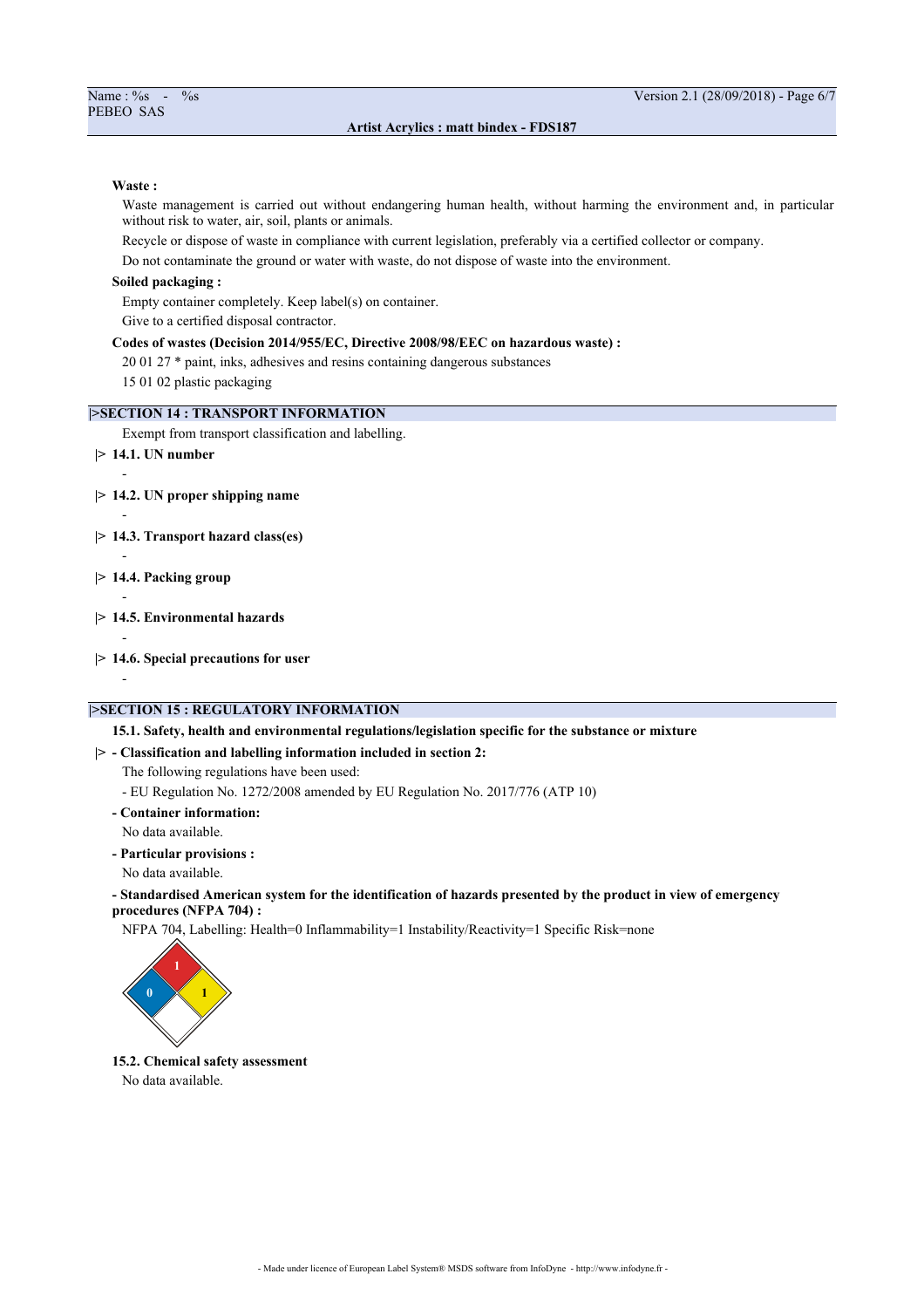#### **Waste :**

Waste management is carried out without endangering human health, without harming the environment and, in particular without risk to water, air, soil, plants or animals.

Recycle or dispose of waste in compliance with current legislation, preferably via a certified collector or company.

Do not contaminate the ground or water with waste, do not dispose of waste into the environment.

# **Soiled packaging :**

Empty container completely. Keep label(s) on container.

Give to a certified disposal contractor.

### **Codes of wastes (Decision 2014/955/EC, Directive 2008/98/EEC on hazardous waste) :**

20 01 27 \* paint, inks, adhesives and resins containing dangerous substances

15 01 02 plastic packaging

## **|>SECTION 14 : TRANSPORT INFORMATION**

Exempt from transport classification and labelling.

**|> 14.1. UN number**

-

-

-

-

-

- **|> 14.2. UN proper shipping name**
- **|> 14.3. Transport hazard class(es)**
- **|> 14.4. Packing group**
- **|> 14.5. Environmental hazards**
- **|> 14.6. Special precautions for user**
	- -

# **|>SECTION 15 : REGULATORY INFORMATION**

**15.1. Safety, health and environmental regulations/legislation specific for the substance or mixture**

**|> - Classification and labelling information included in section 2:**

The following regulations have been used:

- EU Regulation No. 1272/2008 amended by EU Regulation No. 2017/776 (ATP 10)
- **Container information:**
- No data available.
- **Particular provisions :**
- No data available.

# **- Standardised American system for the identification of hazards presented by the product in view of emergency procedures (NFPA 704) :**

NFPA 704, Labelling: Health=0 Inflammability=1 Instability/Reactivity=1 Specific Risk=none



**15.2. Chemical safety assessment** No data available.